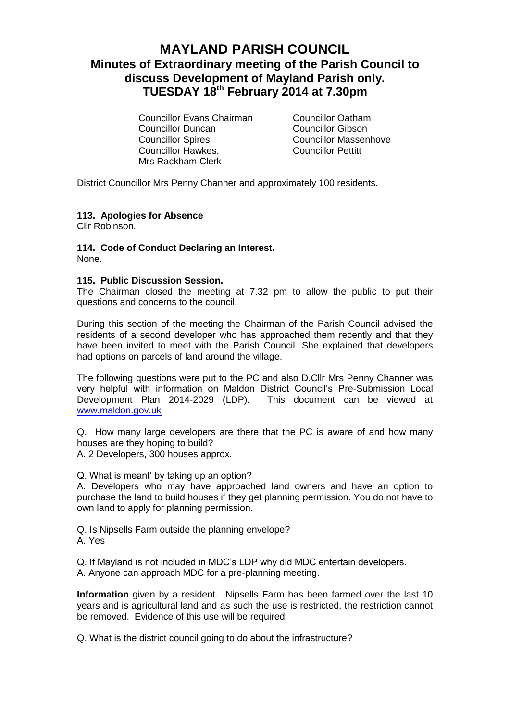# **MAYLAND PARISH COUNCIL Minutes of Extraordinary meeting of the Parish Council to discuss Development of Mayland Parish only. TUESDAY 18th February 2014 at 7.30pm**

Councillor Evans Chairman Councillor Oatham Councillor Duncan Councillor Gibson Councillor Spires Councillor Massenhove Councillor Hawkes, Councillor Pettitt Mrs Rackham Clerk

District Councillor Mrs Penny Channer and approximately 100 residents.

### **113. Apologies for Absence**

Cllr Robinson.

## **114. Code of Conduct Declaring an Interest.**

None.

#### **115. Public Discussion Session.**

The Chairman closed the meeting at 7.32 pm to allow the public to put their questions and concerns to the council.

During this section of the meeting the Chairman of the Parish Council advised the residents of a second developer who has approached them recently and that they have been invited to meet with the Parish Council. She explained that developers had options on parcels of land around the village.

The following questions were put to the PC and also D.Cllr Mrs Penny Channer was very helpful with information on Maldon District Council's Pre-Submission Local Development Plan 2014-2029 (LDP). This document can be viewed at [www.maldon.gov.uk](http://www.maldon.gov.uk/)

Q. How many large developers are there that the PC is aware of and how many houses are they hoping to build?

A. 2 Developers, 300 houses approx.

Q. What is meant' by taking up an option?

A. Developers who may have approached land owners and have an option to purchase the land to build houses if they get planning permission. You do not have to own land to apply for planning permission.

Q. Is Nipsells Farm outside the planning envelope? A. Yes

Q. If Mayland is not included in MDC's LDP why did MDC entertain developers. A. Anyone can approach MDC for a pre-planning meeting.

**Information** given by a resident. Nipsells Farm has been farmed over the last 10 years and is agricultural land and as such the use is restricted, the restriction cannot be removed. Evidence of this use will be required.

Q. What is the district council going to do about the infrastructure?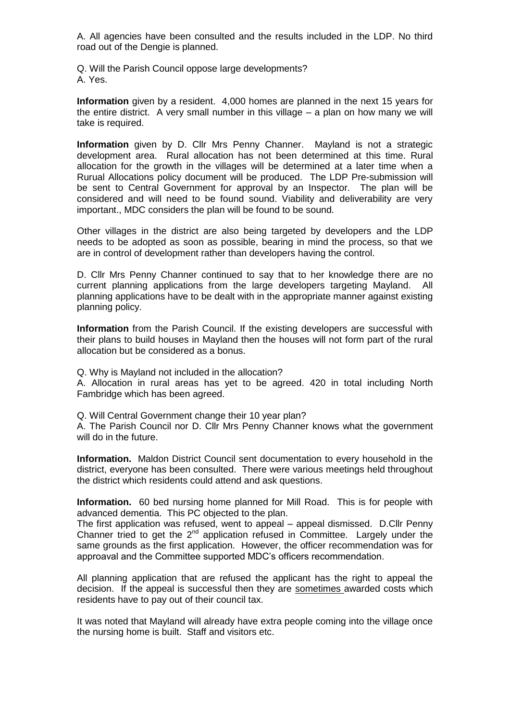A. All agencies have been consulted and the results included in the LDP. No third road out of the Dengie is planned.

Q. Will the Parish Council oppose large developments? A. Yes.

**Information** given by a resident. 4,000 homes are planned in the next 15 years for the entire district. A very small number in this village – a plan on how many we will take is required.

**Information** given by D. Cllr Mrs Penny Channer. Mayland is not a strategic development area. Rural allocation has not been determined at this time. Rural allocation for the growth in the villages will be determined at a later time when a Rurual Allocations policy document will be produced. The LDP Pre-submission will be sent to Central Government for approval by an Inspector. The plan will be considered and will need to be found sound. Viability and deliverability are very important., MDC considers the plan will be found to be sound.

Other villages in the district are also being targeted by developers and the LDP needs to be adopted as soon as possible, bearing in mind the process, so that we are in control of development rather than developers having the control.

D. Cllr Mrs Penny Channer continued to say that to her knowledge there are no current planning applications from the large developers targeting Mayland. All planning applications have to be dealt with in the appropriate manner against existing planning policy.

**Information** from the Parish Council. If the existing developers are successful with their plans to build houses in Mayland then the houses will not form part of the rural allocation but be considered as a bonus.

Q. Why is Mayland not included in the allocation?

A. Allocation in rural areas has yet to be agreed. 420 in total including North Fambridge which has been agreed.

Q. Will Central Government change their 10 year plan?

A. The Parish Council nor D. Cllr Mrs Penny Channer knows what the government will do in the future.

**Information.** Maldon District Council sent documentation to every household in the district, everyone has been consulted. There were various meetings held throughout the district which residents could attend and ask questions.

**Information.** 60 bed nursing home planned for Mill Road. This is for people with advanced dementia. This PC objected to the plan.

The first application was refused, went to appeal – appeal dismissed. D.Cllr Penny Channer tried to get the 2<sup>nd</sup> application refused in Committee. Largely under the same grounds as the first application. However, the officer recommendation was for approaval and the Committee supported MDC's officers recommendation.

All planning application that are refused the applicant has the right to appeal the decision. If the appeal is successful then they are sometimes awarded costs which residents have to pay out of their council tax.

It was noted that Mayland will already have extra people coming into the village once the nursing home is built. Staff and visitors etc.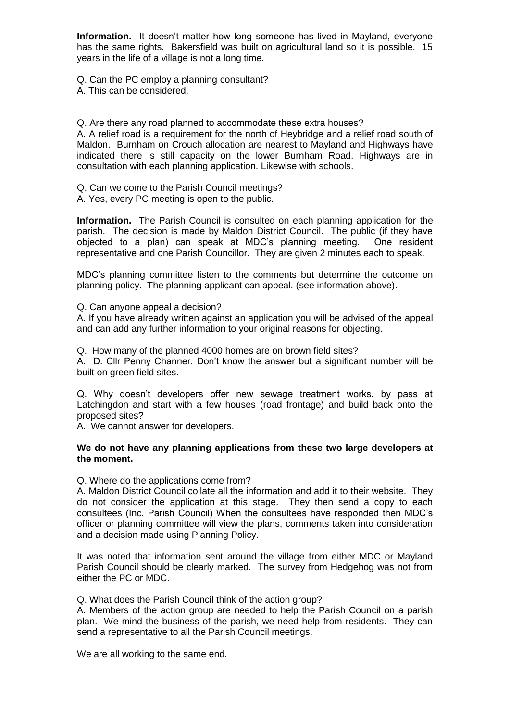**Information.** It doesn't matter how long someone has lived in Mayland, everyone has the same rights. Bakersfield was built on agricultural land so it is possible. 15 years in the life of a village is not a long time.

Q. Can the PC employ a planning consultant?

A. This can be considered.

Q. Are there any road planned to accommodate these extra houses?

A. A relief road is a requirement for the north of Heybridge and a relief road south of Maldon. Burnham on Crouch allocation are nearest to Mayland and Highways have indicated there is still capacity on the lower Burnham Road. Highways are in consultation with each planning application. Likewise with schools.

Q. Can we come to the Parish Council meetings?

A. Yes, every PC meeting is open to the public.

**Information.** The Parish Council is consulted on each planning application for the parish. The decision is made by Maldon District Council. The public (if they have objected to a plan) can speak at MDC's planning meeting. One resident representative and one Parish Councillor. They are given 2 minutes each to speak.

MDC's planning committee listen to the comments but determine the outcome on planning policy. The planning applicant can appeal. (see information above).

Q. Can anyone appeal a decision?

A. If you have already written against an application you will be advised of the appeal and can add any further information to your original reasons for objecting.

Q. How many of the planned 4000 homes are on brown field sites?

A. D. Cllr Penny Channer. Don't know the answer but a significant number will be built on green field sites.

Q. Why doesn't developers offer new sewage treatment works, by pass at Latchingdon and start with a few houses (road frontage) and build back onto the proposed sites?

A. We cannot answer for developers.

#### **We do not have any planning applications from these two large developers at the moment.**

Q. Where do the applications come from?

A. Maldon District Council collate all the information and add it to their website. They do not consider the application at this stage. They then send a copy to each consultees (Inc. Parish Council) When the consultees have responded then MDC's officer or planning committee will view the plans, comments taken into consideration and a decision made using Planning Policy.

It was noted that information sent around the village from either MDC or Mayland Parish Council should be clearly marked. The survey from Hedgehog was not from either the PC or MDC.

Q. What does the Parish Council think of the action group?

A. Members of the action group are needed to help the Parish Council on a parish plan. We mind the business of the parish, we need help from residents. They can send a representative to all the Parish Council meetings.

We are all working to the same end.